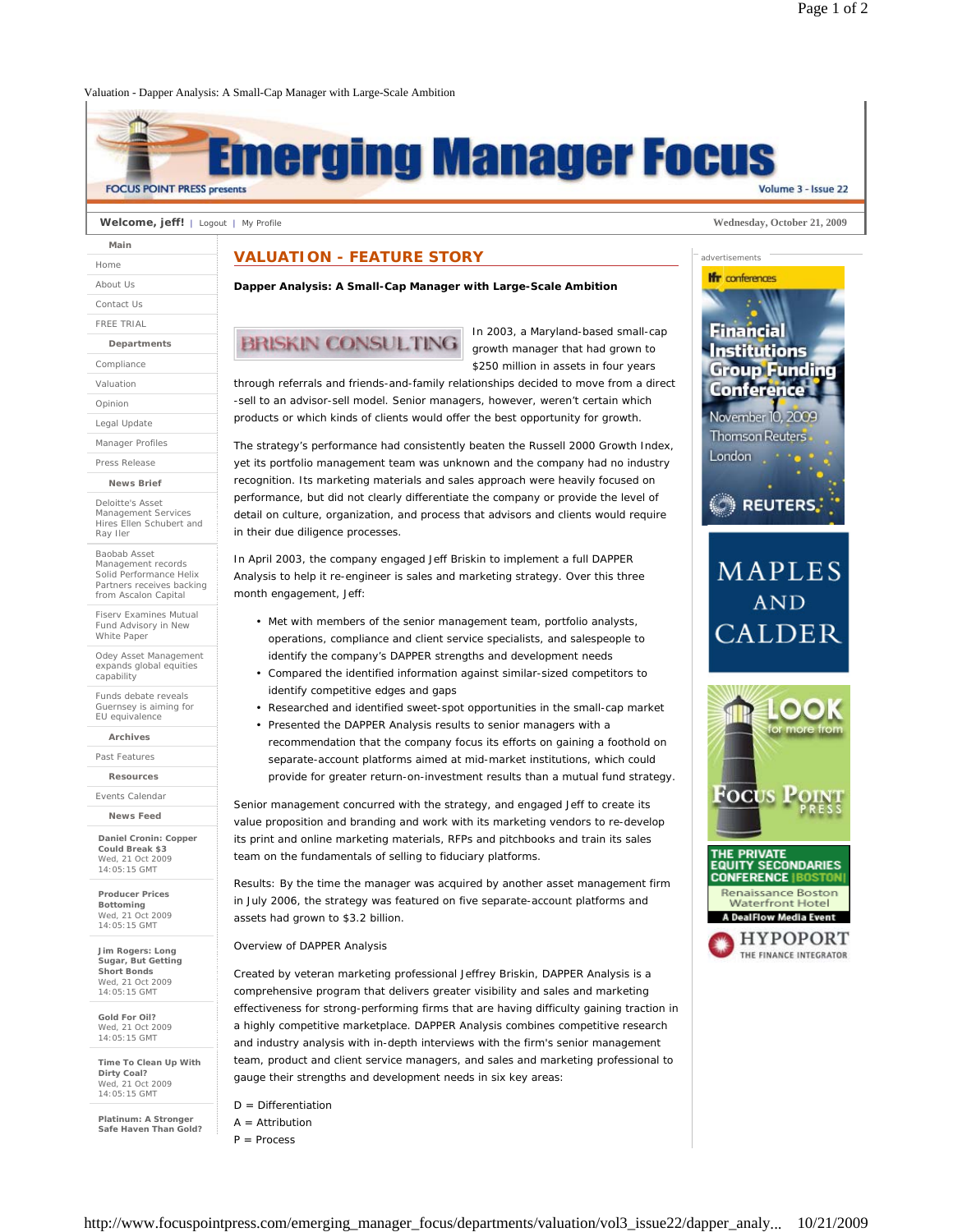## Valuation - Dapper Analysis: A Small-Cap Manager with Large-Scale Ambition



### **Welcome, jeff!** | Logout | My Profile **Wednesday, October 21, 2009**

| Main              |
|-------------------|
| Home              |
| About Us          |
| Contact Us        |
| <b>FRFF TRIAL</b> |
| Departments       |
| Compliance        |
| Valuation         |
| Opinion           |
| Legal Update      |
| Manager Profiles  |
| Press Release     |

**News Brief**

Deloitte's Asset Management Services Hires Ellen Schubert and Ray Iler

Baobab Asset Management records Solid Performance Helix Partners receives backing from Ascalon Capital

Fiserv Examines Mutual Fund Advisory in New White Paper

Odey Asset Management expands global equities capability

Funds debate reveals Guernsey is aiming for EU equivalence

**Archives**

Past Features

**Resources**

Events Calendar

**News Feed Daniel Cronin: Copper** 

**Could Break \$3** Wed, 21 Oct 2009 14:05:15 GMT

**Producer Prices Bottoming** Wed, 21 Oct 2009 14:05:15 GMT

**Jim Rogers: Long Sugar, But Getting Short Bonds** Wed, 21 Oct 2009 14:05:15 GMT

**Gold For Oil?** Wed, 21 Oct 2009 14:05:15 GMT

**Time To Clean Up With Dirty Coal?** Wed, 21 Oct 2009 14:05:15 GMT

**Platinum: A Stronger Safe Haven Than Gold?**

## **VALUATION - FEATURE STORY**

**Dapper Analysis: A Small-Cap Manager with Large-Scale Ambition**

# **BRISKIN CONSULTING**

In 2003, a Maryland-based small-cap growth manager that had grown to \$250 million in assets in four years

through referrals and friends-and-family relationships decided to move from a direct -sell to an advisor-sell model. Senior managers, however, weren't certain which products or which kinds of clients would offer the best opportunity for growth.

The strategy's performance had consistently beaten the Russell 2000 Growth Index, yet its portfolio management team was unknown and the company had no industry recognition. Its marketing materials and sales approach were heavily focused on performance, but did not clearly differentiate the company or provide the level of detail on culture, organization, and process that advisors and clients would require in their due diligence processes.

In April 2003, the company engaged Jeff Briskin to implement a full DAPPER Analysis to help it re-engineer is sales and marketing strategy. Over this three month engagement, Jeff:

- Met with members of the senior management team, portfolio analysts, operations, compliance and client service specialists, and salespeople to identify the company's DAPPER strengths and development needs
- Compared the identified information against similar-sized competitors to identify competitive edges and gaps
- Researched and identified sweet-spot opportunities in the small-cap market
- Presented the DAPPER Analysis results to senior managers with a recommendation that the company focus its efforts on gaining a foothold on separate-account platforms aimed at mid-market institutions, which could provide for greater return-on-investment results than a mutual fund strategy.

Senior management concurred with the strategy, and engaged Jeff to create its value proposition and branding and work with its marketing vendors to re-develop its print and online marketing materials, RFPs and pitchbooks and train its sales team on the fundamentals of selling to fiduciary platforms.

Results: By the time the manager was acquired by another asset management firm in July 2006, the strategy was featured on five separate-account platforms and assets had grown to \$3.2 billion.

Overview of DAPPER Analysis

Created by veteran marketing professional Jeffrey Briskin, DAPPER Analysis is a comprehensive program that delivers greater visibility and sales and marketing effectiveness for strong-performing firms that are having difficulty gaining traction in a highly competitive marketplace. DAPPER Analysis combines competitive research and industry analysis with in-depth interviews with the firm's senior management team, product and client service managers, and sales and marketing professional to gauge their strengths and development needs in six key areas:

- $D =$  Differentiation
- $A =$ Attribution
- $P =$  Process



advertisements